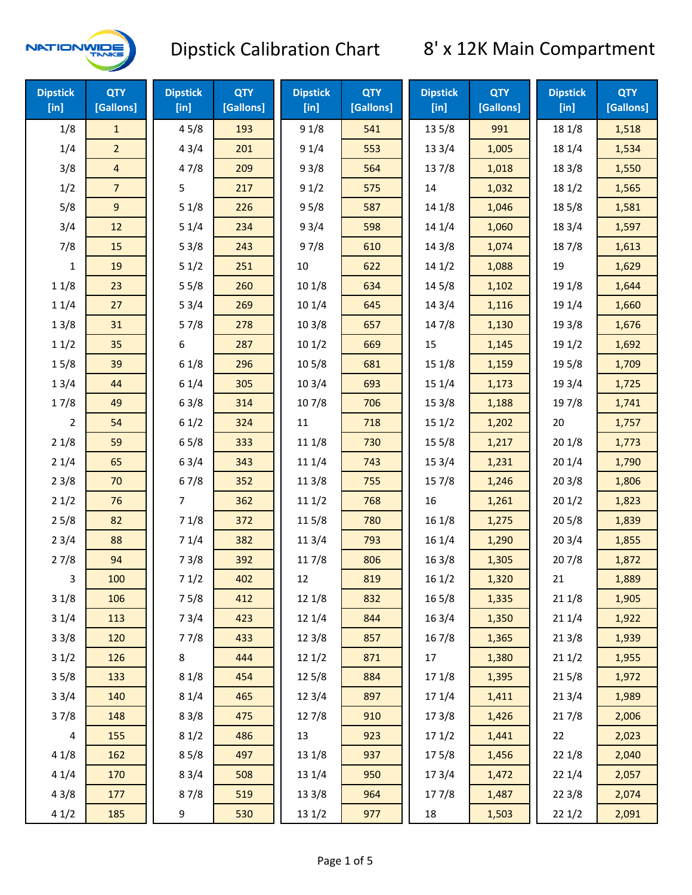

| <b>Dipstick</b><br>$[$ in] | <b>QTY</b><br>[Gallons] | <b>Dipstick</b><br>[in] | <b>QTY</b><br>[Gallons] | <b>Dipstick</b><br>[in] | <b>QTY</b><br>[Gallons] | <b>Dipstick</b><br>[in] | <b>QTY</b><br>[Gallons] | <b>Dipstick</b><br>$[$ in] | <b>QTY</b><br>[Gallons] |
|----------------------------|-------------------------|-------------------------|-------------------------|-------------------------|-------------------------|-------------------------|-------------------------|----------------------------|-------------------------|
| 1/8                        | $\mathbf{1}$            | 45/8                    | 193                     | 91/8                    | 541                     | 13 5/8                  | 991                     | 18 1/8                     | 1,518                   |
| 1/4                        | $\overline{a}$          | 43/4                    | 201                     | 91/4                    | 553                     | 13 3/4                  | 1,005                   | 18 1/4                     | 1,534                   |
| 3/8                        | $\overline{\mathbf{4}}$ | 47/8                    | 209                     | 93/8                    | 564                     | 137/8                   | 1,018                   | 18 3/8                     | 1,550                   |
| 1/2                        | $\overline{7}$          | 5                       | 217                     | 91/2                    | 575                     | 14                      | 1,032                   | 18 1/2                     | 1,565                   |
| 5/8                        | 9                       | 51/8                    | 226                     | 95/8                    | 587                     | 14 1/8                  | 1,046                   | 185/8                      | 1,581                   |
| 3/4                        | 12                      | 51/4                    | 234                     | 93/4                    | 598                     | 14 1/4                  | 1,060                   | 18 3/4                     | 1,597                   |
| 7/8                        | 15                      | 53/8                    | 243                     | 97/8                    | 610                     | 14 3/8                  | 1,074                   | 187/8                      | 1,613                   |
| 1                          | 19                      | 51/2                    | 251                     | 10                      | 622                     | 141/2                   | 1,088                   | 19                         | 1,629                   |
| 11/8                       | 23                      | 55/8                    | 260                     | 10 1/8                  | 634                     | 14 5/8                  | 1,102                   | 19 1/8                     | 1,644                   |
| 11/4                       | 27                      | 53/4                    | 269                     | 10 1/4                  | 645                     | 143/4                   | 1,116                   | 19 1/4                     | 1,660                   |
| 13/8                       | 31                      | 57/8                    | 278                     | 103/8                   | 657                     | 147/8                   | 1,130                   | 19 3/8                     | 1,676                   |
| 11/2                       | 35                      | 6                       | 287                     | 101/2                   | 669                     | 15                      | 1,145                   | 19 1/2                     | 1,692                   |
| 15/8                       | 39                      | 61/8                    | 296                     | 10 <sub>5</sub> /8      | 681                     | 151/8                   | 1,159                   | 195/8                      | 1,709                   |
| 13/4                       | 44                      | 61/4                    | 305                     | 103/4                   | 693                     | 151/4                   | 1,173                   | 19 3/4                     | 1,725                   |
| 17/8                       | 49                      | 63/8                    | 314                     | 107/8                   | 706                     | 153/8                   | 1,188                   | 197/8                      | 1,741                   |
| $\overline{2}$             | 54                      | 61/2                    | 324                     | $11\,$                  | 718                     | 151/2                   | 1,202                   | 20                         | 1,757                   |
| 21/8                       | 59                      | 65/8                    | 333                     | 11 1/8                  | 730                     | 15 5/8                  | 1,217                   | 201/8                      | 1,773                   |
| 21/4                       | 65                      | 63/4                    | 343                     | 11 1/4                  | 743                     | 153/4                   | 1,231                   | 201/4                      | 1,790                   |
| 23/8                       | 70                      | 67/8                    | 352                     | 11 3/8                  | 755                     | 15 7/8                  | 1,246                   | 203/8                      | 1,806                   |
| 21/2                       | 76                      | $\overline{7}$          | 362                     | 111/2                   | 768                     | 16                      | 1,261                   | 201/2                      | 1,823                   |
| 25/8                       | 82                      | 71/8                    | 372                     | 115/8                   | 780                     | 16 1/8                  | 1,275                   | 205/8                      | 1,839                   |
| 23/4                       | 88                      | 71/4                    | 382                     | 113/4                   | 793                     | 16 1/4                  | 1,290                   | 203/4                      | 1,855                   |
| 27/8                       | 94                      | 73/8                    | 392                     | 11 7/8                  | 806                     | 16 3/8                  | 1,305                   | 207/8                      | 1,872                   |
| 3                          | 100                     | 71/2                    | 402                     | 12                      | 819                     | 161/2                   | 1,320                   | 21                         | 1,889                   |
| 31/8                       | 106                     | 75/8                    | 412                     | 12 1/8                  | 832                     | 16 5/8                  | 1,335                   | 211/8                      | 1,905                   |
| 31/4                       | 113                     | 73/4                    | 423                     | 12 1/4                  | 844                     | 16 3/4                  | 1,350                   | 211/4                      | 1,922                   |
| 33/8                       | 120                     | 77/8                    | 433                     | 12 3/8                  | 857                     | 16 7/8                  | 1,365                   | 213/8                      | 1,939                   |
| 31/2                       | 126                     | 8                       | 444                     | 121/2                   | 871                     | 17                      | 1,380                   | 211/2                      | 1,955                   |
| 35/8                       | 133                     | 81/8                    | 454                     | 12 5/8                  | 884                     | 17 1/8                  | 1,395                   | 215/8                      | 1,972                   |
| 33/4                       | 140                     | 81/4                    | 465                     | 123/4                   | 897                     | 17 1/4                  | 1,411                   | 213/4                      | 1,989                   |
| 37/8                       | 148                     | 83/8                    | 475                     | 12 7/8                  | 910                     | 173/8                   | 1,426                   | 217/8                      | 2,006                   |
| 4                          | 155                     | 81/2                    | 486                     | 13                      | 923                     | 171/2                   | 1,441                   | 22                         | 2,023                   |
| 41/8                       | 162                     | 85/8                    | 497                     | 13 1/8                  | 937                     | 175/8                   | 1,456                   | 22 1/8                     | 2,040                   |
| 41/4                       | 170                     | 83/4                    | 508                     | 13 1/4                  | 950                     | 173/4                   | 1,472                   | 221/4                      | 2,057                   |
| 43/8                       | 177                     | 87/8                    | 519                     | 13 3/8                  | 964                     | 177/8                   | 1,487                   | 223/8                      | 2,074                   |
| 41/2                       | 185                     | 9                       | 530                     | 13 1/2                  | 977                     | 18                      | 1,503                   | 221/2                      | 2,091                   |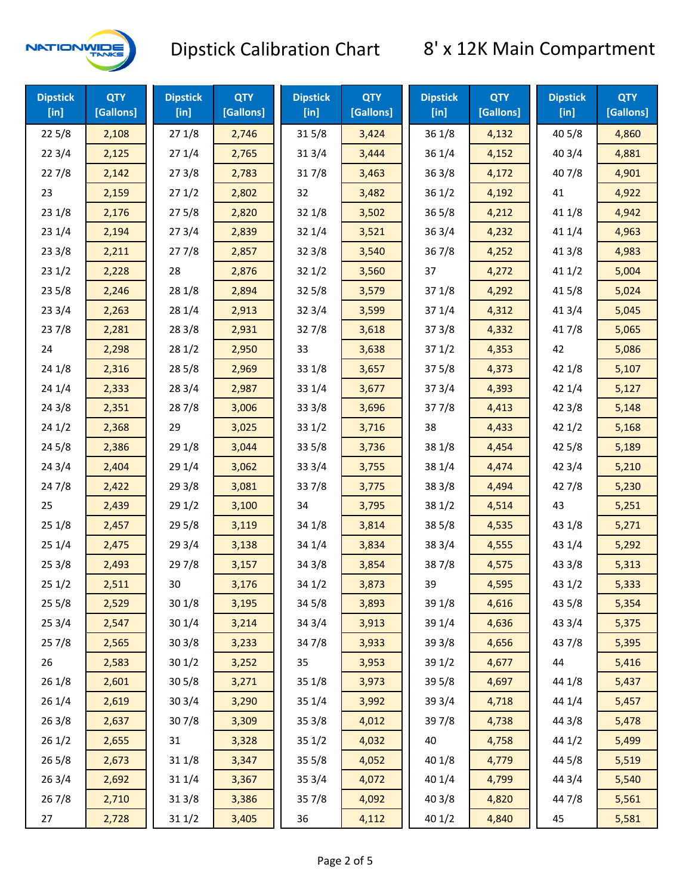

| <b>Dipstick</b><br>$[$ in] | <b>QTY</b><br>[Gallons] | <b>Dipstick</b><br>$[$ in] | <b>QTY</b><br>[Gallons] | <b>Dipstick</b><br>$[$ in] | <b>QTY</b><br>[Gallons] | <b>Dipstick</b><br>$[$ in] | <b>QTY</b><br>[Gallons] | <b>Dipstick</b><br>[in] | <b>QTY</b><br>[Gallons] |
|----------------------------|-------------------------|----------------------------|-------------------------|----------------------------|-------------------------|----------------------------|-------------------------|-------------------------|-------------------------|
| 225/8                      | 2,108                   | 271/8                      | 2,746                   | 315/8                      | 3,424                   | 36 1/8                     | 4,132                   | 40 5/8                  | 4,860                   |
| 223/4                      | 2,125                   | 271/4                      | 2,765                   | 31 3/4                     | 3,444                   | 36 1/4                     | 4,152                   | 40 3/4                  | 4,881                   |
| 227/8                      | 2,142                   | 273/8                      | 2,783                   | 317/8                      | 3,463                   | 363/8                      | 4,172                   | 407/8                   | 4,901                   |
| 23                         | 2,159                   | 271/2                      | 2,802                   | 32                         | 3,482                   | 361/2                      | 4,192                   | 41                      | 4,922                   |
| 231/8                      | 2,176                   | 275/8                      | 2,820                   | 32 1/8                     | 3,502                   | 365/8                      | 4,212                   | 41 1/8                  | 4,942                   |
| 231/4                      | 2,194                   | 273/4                      | 2,839                   | 32 1/4                     | 3,521                   | 363/4                      | 4,232                   | 41 1/4                  | 4,963                   |
| 233/8                      | 2,211                   | 277/8                      | 2,857                   | 323/8                      | 3,540                   | 367/8                      | 4,252                   | 41 3/8                  | 4,983                   |
| 231/2                      | 2,228                   | 28                         | 2,876                   | 321/2                      | 3,560                   | 37                         | 4,272                   | 411/2                   | 5,004                   |
| 235/8                      | 2,246                   | 28 1/8                     | 2,894                   | 325/8                      | 3,579                   | 37 1/8                     | 4,292                   | 41 5/8                  | 5,024                   |
| 233/4                      | 2,263                   | 28 1/4                     | 2,913                   | 32 3/4                     | 3,599                   | 37 1/4                     | 4,312                   | 41 3/4                  | 5,045                   |
| 237/8                      | 2,281                   | 28 3/8                     | 2,931                   | 327/8                      | 3,618                   | 373/8                      | 4,332                   | 417/8                   | 5,065                   |
| 24                         | 2,298                   | 28 1/2                     | 2,950                   | 33                         | 3,638                   | 371/2                      | 4,353                   | 42                      | 5,086                   |
| 24 1/8                     | 2,316                   | 285/8                      | 2,969                   | 33 1/8                     | 3,657                   | 375/8                      | 4,373                   | 42 1/8                  | 5,107                   |
| 241/4                      | 2,333                   | 28 3/4                     | 2,987                   | 33 1/4                     | 3,677                   | 373/4                      | 4,393                   | 42 1/4                  | 5,127                   |
| 243/8                      | 2,351                   | 287/8                      | 3,006                   | 333/8                      | 3,696                   | 377/8                      | 4,413                   | 42 3/8                  | 5,148                   |
| 241/2                      | 2,368                   | 29                         | 3,025                   | 331/2                      | 3,716                   | 38                         | 4,433                   | 421/2                   | 5,168                   |
| 245/8                      | 2,386                   | 29 1/8                     | 3,044                   | 33 5/8                     | 3,736                   | 38 1/8                     | 4,454                   | 42 5/8                  | 5,189                   |
| 243/4                      | 2,404                   | 29 1/4                     | 3,062                   | 33 3/4                     | 3,755                   | 38 1/4                     | 4,474                   | 42 3/4                  | 5,210                   |
| 24 7/8                     | 2,422                   | 293/8                      | 3,081                   | 337/8                      | 3,775                   | 38 3/8                     | 4,494                   | 42 7/8                  | 5,230                   |
| 25                         | 2,439                   | 29 1/2                     | 3,100                   | 34                         | 3,795                   | 38 1/2                     | 4,514                   | 43                      | 5,251                   |
| 251/8                      | 2,457                   | 29 5/8                     | 3,119                   | 34 1/8                     | 3,814                   | 38 5/8                     | 4,535                   | 43 1/8                  | 5,271                   |
| 251/4                      | 2,475                   | 29 3/4                     | 3,138                   | 34 1/4                     | 3,834                   | 38 3/4                     | 4,555                   | 43 1/4                  | 5,292                   |
| 253/8                      | 2,493                   | 297/8                      | 3,157                   | 34 3/8                     | 3,854                   | 387/8                      | 4,575                   | 43 3/8                  | 5,313                   |
| 251/2                      | 2,511                   | 30                         | 3,176                   | 34 1/2                     | 3,873                   | 39                         | 4,595                   | 43 1/2                  | 5,333                   |
| 255/8                      | 2,529                   | 30 1/8                     | 3,195                   | 34 5/8                     | 3,893                   | 39 1/8                     | 4,616                   | 43 5/8                  | 5,354                   |
| 253/4                      | 2,547                   | 30 1/4                     | 3,214                   | 34 3/4                     | 3,913                   | 39 1/4                     | 4,636                   | 43 3/4                  | 5,375                   |
| 257/8                      | 2,565                   | 303/8                      | 3,233                   | 347/8                      | 3,933                   | 39 3/8                     | 4,656                   | 437/8                   | 5,395                   |
| 26                         | 2,583                   | 301/2                      | 3,252                   | 35                         | 3,953                   | 39 1/2                     | 4,677                   | 44                      | 5,416                   |
| 26 1/8                     | 2,601                   | 305/8                      | 3,271                   | 35 1/8                     | 3,973                   | 39 5/8                     | 4,697                   | 44 1/8                  | 5,437                   |
| 26 1/4                     | 2,619                   | 30 3/4                     | 3,290                   | 35 1/4                     | 3,992                   | 39 3/4                     | 4,718                   | 44 1/4                  | 5,457                   |
| 263/8                      | 2,637                   | 307/8                      | 3,309                   | 35 3/8                     | 4,012                   | 397/8                      | 4,738                   | 44 3/8                  | 5,478                   |
| 261/2                      | 2,655                   | 31                         | 3,328                   | 351/2                      | 4,032                   | 40                         | 4,758                   | 44 1/2                  | 5,499                   |
| 265/8                      | 2,673                   | 31 1/8                     | 3,347                   | 35 5/8                     | 4,052                   | 40 1/8                     | 4,779                   | 44 5/8                  | 5,519                   |
| 263/4                      | 2,692                   | 31 1/4                     | 3,367                   | 35 3/4                     | 4,072                   | 40 1/4                     | 4,799                   | 44 3/4                  | 5,540                   |
| 267/8                      | 2,710                   | 31 3/8                     | 3,386                   | 357/8                      | 4,092                   | 40 3/8                     | 4,820                   | 447/8                   | 5,561                   |
| 27                         | 2,728                   | 31 1/2                     | 3,405                   | 36                         | 4,112                   | 40 1/2                     | 4,840                   | 45                      | 5,581                   |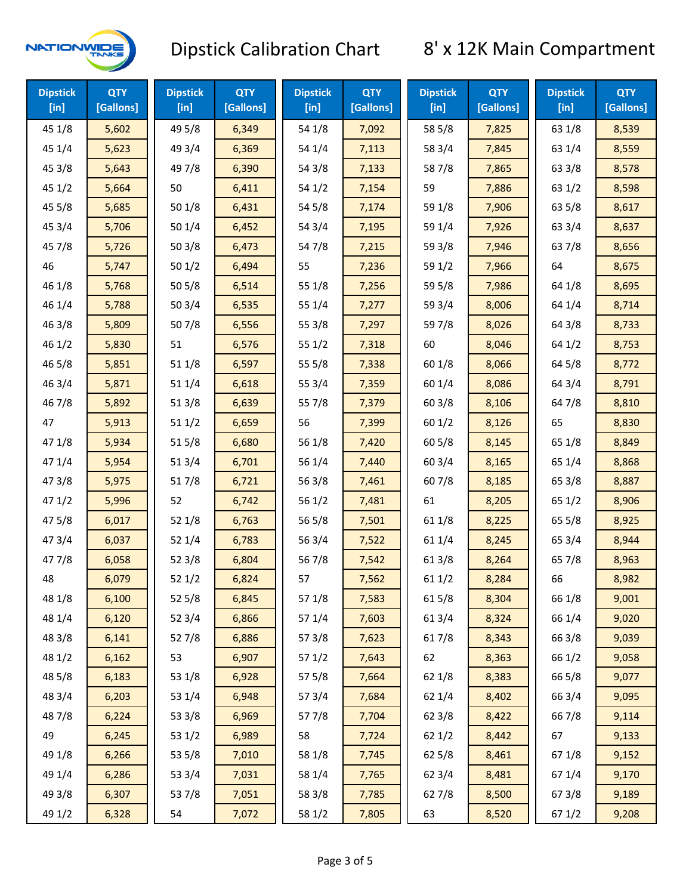

| <b>Dipstick</b><br>$[$ in] | <b>QTY</b><br>[Gallons] | <b>Dipstick</b><br>$[$ in] | <b>QTY</b><br>[Gallons] | <b>Dipstick</b><br>$[$ in] | <b>QTY</b><br>[Gallons] | <b>Dipstick</b><br>$[$ in] | <b>QTY</b><br>[Gallons] | <b>Dipstick</b><br>$[$ in] | <b>QTY</b><br>[Gallons] |
|----------------------------|-------------------------|----------------------------|-------------------------|----------------------------|-------------------------|----------------------------|-------------------------|----------------------------|-------------------------|
| 45 1/8                     | 5,602                   | 49 5/8                     | 6,349                   | 54 1/8                     | 7,092                   | 58 5/8                     | 7,825                   | 63 1/8                     | 8,539                   |
| 45 1/4                     | 5,623                   | 49 3/4                     | 6,369                   | 54 1/4                     | 7,113                   | 58 3/4                     | 7,845                   | 63 1/4                     | 8,559                   |
| 45 3/8                     | 5,643                   | 49 7/8                     | 6,390                   | 54 3/8                     | 7,133                   | 587/8                      | 7,865                   | 63 3/8                     | 8,578                   |
| 451/2                      | 5,664                   | 50                         | 6,411                   | 54 1/2                     | 7,154                   | 59                         | 7,886                   | 63 1/2                     | 8,598                   |
| 45 5/8                     | 5,685                   | 50 1/8                     | 6,431                   | 54 5/8                     | 7,174                   | 59 1/8                     | 7,906                   | 63 5/8                     | 8,617                   |
| 45 3/4                     | 5,706                   | 50 1/4                     | 6,452                   | 54 3/4                     | 7,195                   | 59 1/4                     | 7,926                   | 63 3/4                     | 8,637                   |
| 45 7/8                     | 5,726                   | 503/8                      | 6,473                   | 54 7/8                     | 7,215                   | 59 3/8                     | 7,946                   | 63 7/8                     | 8,656                   |
| 46                         | 5,747                   | 501/2                      | 6,494                   | 55                         | 7,236                   | 59 1/2                     | 7,966                   | 64                         | 8,675                   |
| 46 1/8                     | 5,768                   | 505/8                      | 6,514                   | 55 1/8                     | 7,256                   | 59 5/8                     | 7,986                   | 64 1/8                     | 8,695                   |
| 46 1/4                     | 5,788                   | 50 3/4                     | 6,535                   | 55 1/4                     | 7,277                   | 59 3/4                     | 8,006                   | 64 1/4                     | 8,714                   |
| 46 3/8                     | 5,809                   | 507/8                      | 6,556                   | 55 3/8                     | 7,297                   | 597/8                      | 8,026                   | 64 3/8                     | 8,733                   |
| 46 1/2                     | 5,830                   | 51                         | 6,576                   | 55 1/2                     | 7,318                   | 60                         | 8,046                   | 64 1/2                     | 8,753                   |
| 46 5/8                     | 5,851                   | 51 1/8                     | 6,597                   | 55 5/8                     | 7,338                   | 60 1/8                     | 8,066                   | 64 5/8                     | 8,772                   |
| 46 3/4                     | 5,871                   | 51 1/4                     | 6,618                   | 55 3/4                     | 7,359                   | 60 1/4                     | 8,086                   | 64 3/4                     | 8,791                   |
| 46 7/8                     | 5,892                   | 513/8                      | 6,639                   | 55 7/8                     | 7,379                   | 603/8                      | 8,106                   | 64 7/8                     | 8,810                   |
| 47                         | 5,913                   | 511/2                      | 6,659                   | 56                         | 7,399                   | 601/2                      | 8,126                   | 65                         | 8,830                   |
| 47 1/8                     | 5,934                   | 515/8                      | 6,680                   | 56 1/8                     | 7,420                   | 60 5/8                     | 8,145                   | 65 1/8                     | 8,849                   |
| 47 1/4                     | 5,954                   | 51 3/4                     | 6,701                   | 56 1/4                     | 7,440                   | 60 3/4                     | 8,165                   | 65 1/4                     | 8,868                   |
| 47 3/8                     | 5,975                   | 517/8                      | 6,721                   | 563/8                      | 7,461                   | 607/8                      | 8,185                   | 65 3/8                     | 8,887                   |
| 47 1/2                     | 5,996                   | 52                         | 6,742                   | 56 1/2                     | 7,481                   | 61                         | 8,205                   | 65 1/2                     | 8,906                   |
| 475/8                      | 6,017                   | 52 1/8                     | 6,763                   | 56 5/8                     | 7,501                   | 61 1/8                     | 8,225                   | 65 5/8                     | 8,925                   |
| 47 3/4                     | 6,037                   | 52 1/4                     | 6,783                   | 56 3/4                     | 7,522                   | 61 1/4                     | 8,245                   | 65 3/4                     | 8,944                   |
| 47 7/8                     | 6,058                   | 52 3/8                     | 6,804                   | 567/8                      | 7,542                   | 61 3/8                     | 8,264                   | 65 7/8                     | 8,963                   |
| 48                         | 6,079                   | 52 1/2                     | 6,824                   | 57                         | 7,562                   | 611/2                      | 8,284                   | 66                         | 8,982                   |
| 48 1/8                     | 6,100                   | 525/8                      | 6,845                   | 57 1/8                     | 7,583                   | 615/8                      | 8,304                   | 66 1/8                     | 9,001                   |
| 48 1/4                     | 6,120                   | 52 3/4                     | 6,866                   | 57 1/4                     | 7,603                   | 613/4                      | 8,324                   | 66 1/4                     | 9,020                   |
| 48 3/8                     | 6,141                   | 527/8                      | 6,886                   | 57 3/8                     | 7,623                   | 617/8                      | 8,343                   | 66 3/8                     | 9,039                   |
| 48 1/2                     | 6,162                   | 53                         | 6,907                   | 571/2                      | 7,643                   | 62                         | 8,363                   | 66 1/2                     | 9,058                   |
| 48 5/8                     | 6,183                   | 53 1/8                     | 6,928                   | 57 5/8                     | 7,664                   | 62 1/8                     | 8,383                   | 66 5/8                     | 9,077                   |
| 48 3/4                     | 6,203                   | 53 1/4                     | 6,948                   | 573/4                      | 7,684                   | 62 1/4                     | 8,402                   | 66 3/4                     | 9,095                   |
| 487/8                      | 6,224                   | 53 3/8                     | 6,969                   | 577/8                      | 7,704                   | 62 3/8                     | 8,422                   | 667/8                      | 9,114                   |
| 49                         | 6,245                   | 53 1/2                     | 6,989                   | 58                         | 7,724                   | 621/2                      | 8,442                   | 67                         | 9,133                   |
| 49 1/8                     | 6,266                   | 53 5/8                     | 7,010                   | 58 1/8                     | 7,745                   | 62 5/8                     | 8,461                   | 671/8                      | 9,152                   |
| 49 1/4                     | 6,286                   | 53 3/4                     | 7,031                   | 58 1/4                     | 7,765                   | 62 3/4                     | 8,481                   | 67 1/4                     | 9,170                   |
| 49 3/8                     | 6,307                   | 537/8                      | 7,051                   | 58 3/8                     | 7,785                   | 627/8                      | 8,500                   | 673/8                      | 9,189                   |
| 49 1/2                     | 6,328                   | 54                         | 7,072                   | 58 1/2                     | 7,805                   | 63                         | 8,520                   | 67 1/2                     | 9,208                   |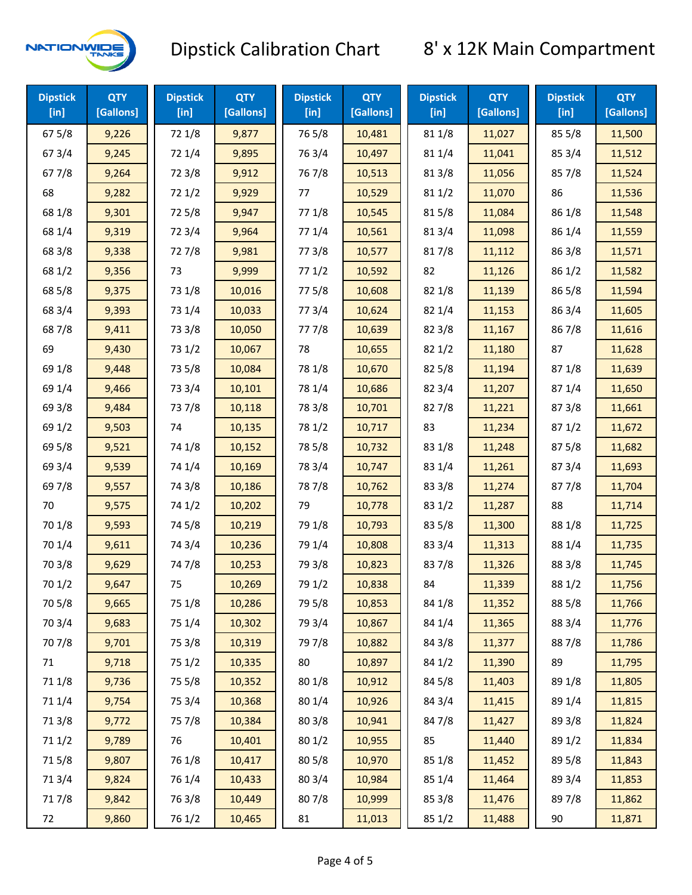

| <b>Dipstick</b><br>$[$ in] | <b>QTY</b><br>[Gallons] | <b>Dipstick</b><br>$[$ in] | <b>QTY</b><br>[Gallons] | <b>Dipstick</b><br>$[$ in] | <b>QTY</b><br>[Gallons] | <b>Dipstick</b><br>$[$ in] | <b>QTY</b><br>[Gallons] | <b>Dipstick</b><br>[in] | <b>QTY</b><br>[Gallons] |
|----------------------------|-------------------------|----------------------------|-------------------------|----------------------------|-------------------------|----------------------------|-------------------------|-------------------------|-------------------------|
| 67 5/8                     | 9,226                   | 72 1/8                     | 9,877                   | 765/8                      | 10,481                  | 81 1/8                     | 11,027                  | 85 5/8                  | 11,500                  |
| 673/4                      | 9,245                   | 72 1/4                     | 9,895                   | 763/4                      | 10,497                  | 81 1/4                     | 11,041                  | 85 3/4                  | 11,512                  |
| 677/8                      | 9,264                   | 72 3/8                     | 9,912                   | 76 7/8                     | 10,513                  | 81 3/8                     | 11,056                  | 857/8                   | 11,524                  |
| 68                         | 9,282                   | 721/2                      | 9,929                   | 77                         | 10,529                  | 811/2                      | 11,070                  | 86                      | 11,536                  |
| 68 1/8                     | 9,301                   | 725/8                      | 9,947                   | 77 1/8                     | 10,545                  | 815/8                      | 11,084                  | 86 1/8                  | 11,548                  |
| 68 1/4                     | 9,319                   | 72 3/4                     | 9,964                   | 77 1/4                     | 10,561                  | 813/4                      | 11,098                  | 86 1/4                  | 11,559                  |
| 68 3/8                     | 9,338                   | 727/8                      | 9,981                   | 77 3/8                     | 10,577                  | 817/8                      | 11,112                  | 86 3/8                  | 11,571                  |
| 68 1/2                     | 9,356                   | 73                         | 9,999                   | 771/2                      | 10,592                  | 82                         | 11,126                  | 86 1/2                  | 11,582                  |
| 68 5/8                     | 9,375                   | 73 1/8                     | 10,016                  | 775/8                      | 10,608                  | 82 1/8                     | 11,139                  | 86 5/8                  | 11,594                  |
| 68 3/4                     | 9,393                   | 73 1/4                     | 10,033                  | 773/4                      | 10,624                  | 82 1/4                     | 11,153                  | 86 3/4                  | 11,605                  |
| 687/8                      | 9,411                   | 73 3/8                     | 10,050                  | 777/8                      | 10,639                  | 823/8                      | 11,167                  | 867/8                   | 11,616                  |
| 69                         | 9,430                   | 73 1/2                     | 10,067                  | 78                         | 10,655                  | 821/2                      | 11,180                  | 87                      | 11,628                  |
| 69 1/8                     | 9,448                   | 73 5/8                     | 10,084                  | 78 1/8                     | 10,670                  | 825/8                      | 11,194                  | 871/8                   | 11,639                  |
| 69 1/4                     | 9,466                   | 73 3/4                     | 10,101                  | 78 1/4                     | 10,686                  | 82 3/4                     | 11,207                  | 871/4                   | 11,650                  |
| 69 3/8                     | 9,484                   | 737/8                      | 10,118                  | 78 3/8                     | 10,701                  | 827/8                      | 11,221                  | 87 3/8                  | 11,661                  |
| 69 1/2                     | 9,503                   | 74                         | 10,135                  | 78 1/2                     | 10,717                  | 83                         | 11,234                  | 871/2                   | 11,672                  |
| 69 5/8                     | 9,521                   | 74 1/8                     | 10,152                  | 78 5/8                     | 10,732                  | 83 1/8                     | 11,248                  | 875/8                   | 11,682                  |
| 69 3/4                     | 9,539                   | 74 1/4                     | 10,169                  | 78 3/4                     | 10,747                  | 83 1/4                     | 11,261                  | 87 3/4                  | 11,693                  |
| 697/8                      | 9,557                   | 74 3/8                     | 10,186                  | 787/8                      | 10,762                  | 83 3/8                     | 11,274                  | 877/8                   | 11,704                  |
| 70                         | 9,575                   | 74 1/2                     | 10,202                  | 79                         | 10,778                  | 83 1/2                     | 11,287                  | 88                      | 11,714                  |
| 70 1/8                     | 9,593                   | 74 5/8                     | 10,219                  | 79 1/8                     | 10,793                  | 83 5/8                     | 11,300                  | 88 1/8                  | 11,725                  |
| 70 1/4                     | 9,611                   | 74 3/4                     | 10,236                  | 79 1/4                     | 10,808                  | 83 3/4                     | 11,313                  | 88 1/4                  | 11,735                  |
| 70 3/8                     | 9,629                   | 747/8                      | 10,253                  | 79 3/8                     | 10,823                  | 837/8                      | 11,326                  | 88 3/8                  | 11,745                  |
| 70 1/2                     | 9,647                   | 75                         | 10,269                  | 79 1/2                     | 10,838                  | 84                         | 11,339                  | 88 1/2                  | 11,756                  |
| 70 5/8                     | 9,665                   | 75 1/8                     | 10,286                  | 79 5/8                     | 10,853                  | 84 1/8                     | 11,352                  | 88 5/8                  | 11,766                  |
| 70 3/4                     | 9,683                   | 75 1/4                     | 10,302                  | 79 3/4                     | 10,867                  | 84 1/4                     | 11,365                  | 88 3/4                  | 11,776                  |
| 70 7/8                     | 9,701                   | 75 3/8                     | 10,319                  | 79 7/8                     | 10,882                  | 84 3/8                     | 11,377                  | 887/8                   | 11,786                  |
| 71                         | 9,718                   | 75 1/2                     | 10,335                  | 80                         | 10,897                  | 84 1/2                     | 11,390                  | 89                      | 11,795                  |
| 71 1/8                     | 9,736                   | 75 5/8                     | 10,352                  | 80 1/8                     | 10,912                  | 84 5/8                     | 11,403                  | 89 1/8                  | 11,805                  |
| 71 1/4                     | 9,754                   | 75 3/4                     | 10,368                  | 80 1/4                     | 10,926                  | 84 3/4                     | 11,415                  | 89 1/4                  | 11,815                  |
| 713/8                      | 9,772                   | 75 7/8                     | 10,384                  | 80 3/8                     | 10,941                  | 84 7/8                     | 11,427                  | 89 3/8                  | 11,824                  |
| 71 1/2                     | 9,789                   | 76                         | 10,401                  | 80 1/2                     | 10,955                  | 85                         | 11,440                  | 89 1/2                  | 11,834                  |
| 715/8                      | 9,807                   | 76 1/8                     | 10,417                  | 80 5/8                     | 10,970                  | 85 1/8                     | 11,452                  | 89 5/8                  | 11,843                  |
| 713/4                      | 9,824                   | 76 1/4                     | 10,433                  | 80 3/4                     | 10,984                  | 85 1/4                     | 11,464                  | 89 3/4                  | 11,853                  |
| 717/8                      | 9,842                   | 763/8                      | 10,449                  | 807/8                      | 10,999                  | 85 3/8                     | 11,476                  | 897/8                   | 11,862                  |
| 72                         | 9,860                   | 76 1/2                     | 10,465                  | 81                         | 11,013                  | 85 1/2                     | 11,488                  | 90                      | 11,871                  |